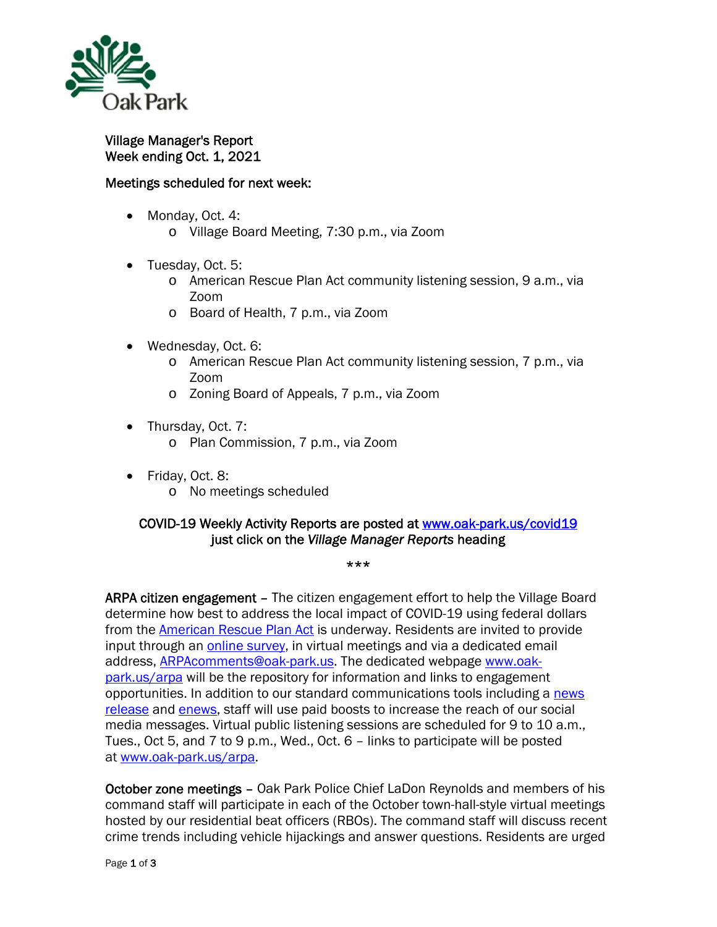

Village Manager's Report Week ending Oct. 1, 2021

## Meetings scheduled for next week:

- Monday, Oct. 4:
	- o Village Board Meeting, 7:30 p.m., via Zoom
- Tuesday, Oct. 5:
	- o American Rescue Plan Act community listening session, 9 a.m., via Zoom
	- o Board of Health, 7 p.m., via Zoom
- Wednesday, Oct. 6:
	- o American Rescue Plan Act community listening session, 7 p.m., via Zoom
	- o Zoning Board of Appeals, 7 p.m., via Zoom
- Thursday, Oct. 7:
	- o Plan Commission, 7 p.m., via Zoom
- Friday, Oct. 8:
	- o No meetings scheduled

## COVID-19 Weekly Activity Reports are posted at www.oak-park.us/covid19 just click on the *Village Manager Reports* heading

\*\*\*

ARPA citizen engagement - The citizen engagement effort to help the Village Board determine how best to address the local impact of COVID-19 using federal dollars from the **American Rescue Plan Act** is underway. Residents are invited to provide input through an *online survey*, in virtual meetings and via a dedicated email address, ARPAcomments@oak-park.us. The dedicated webpage www.oakpark.us/arpa will be the repository for information and links to engagement opportunities. In addition to our standard communications tools including a news release and enews, staff will use paid boosts to increase the reach of our social media messages. Virtual public listening sessions are scheduled for 9 to 10 a.m., Tues., Oct 5, and 7 to 9 p.m., Wed., Oct. 6 – links to participate will be posted at www.oak-park.us/arpa.

October zone meetings – Oak Park Police Chief LaDon Reynolds and members of his command staff will participate in each of the October town-hall-style virtual meetings hosted by our residential beat officers (RBOs). The command staff will discuss recent crime trends including vehicle hijackings and answer questions. Residents are urged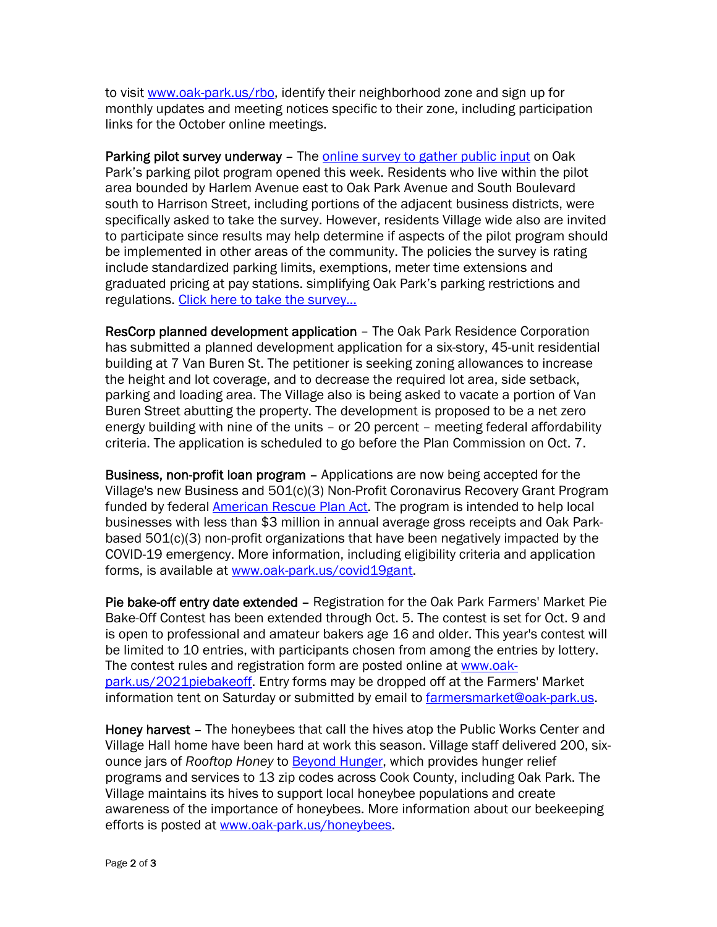to visit www.oak-park.us/rbo, identify their neighborhood zone and sign up for monthly updates and meeting notices specific to their zone, including participation links for the October online meetings.

Parking pilot survey underway – The online survey to gather public input on Oak Park's parking pilot program opened this week. Residents who live within the pilot area bounded by Harlem Avenue east to Oak Park Avenue and South Boulevard south to Harrison Street, including portions of the adjacent business districts, were specifically asked to take the survey. However, residents Village wide also are invited to participate since results may help determine if aspects of the pilot program should be implemented in other areas of the community. The policies the survey is rating include standardized parking limits, exemptions, meter time extensions and graduated pricing at pay stations. simplifying Oak Park's parking restrictions and regulations. Click here to take the survey…

ResCorp planned development application – The Oak Park Residence Corporation has submitted a planned development application for a six-story, 45-unit residential building at 7 Van Buren St. The petitioner is seeking zoning allowances to increase the height and lot coverage, and to decrease the required lot area, side setback, parking and loading area. The Village also is being asked to vacate a portion of Van Buren Street abutting the property. The development is proposed to be a net zero energy building with nine of the units – or 20 percent – meeting federal affordability criteria. The application is scheduled to go before the Plan Commission on Oct. 7.

Business, non-profit loan program – Applications are now being accepted for the Village's new Business and 501(c)(3) Non-Profit Coronavirus Recovery Grant Program funded by federal **American Rescue Plan Act**. The program is intended to help local businesses with less than \$3 million in annual average gross receipts and Oak Parkbased 501(c)(3) non-profit organizations that have been negatively impacted by the COVID-19 emergency. More information, including eligibility criteria and application forms, is available at www.oak-park.us/covid19gant.

Pie bake-off entry date extended – Registration for the Oak Park Farmers' Market Pie Bake-Off Contest has been extended through Oct. 5. The contest is set for Oct. 9 and is open to professional and amateur bakers age 16 and older. This year's contest will be limited to 10 entries, with participants chosen from among the entries by lottery. The contest rules and registration form are posted online at www.oakpark.us/2021piebakeoff. Entry forms may be dropped off at the Farmers' Market information tent on Saturday or submitted by email to farmersmarket@oak-park.us.

Honey harvest – The honeybees that call the hives atop the Public Works Center and Village Hall home have been hard at work this season. Village staff delivered 200, sixounce jars of *Rooftop Honey* to **Beyond Hunger**, which provides hunger relief programs and services to 13 zip codes across Cook County, including Oak Park. The Village maintains its hives to support local honeybee populations and create awareness of the importance of honeybees. More information about our beekeeping efforts is posted at www.oak-park.us/honeybees.